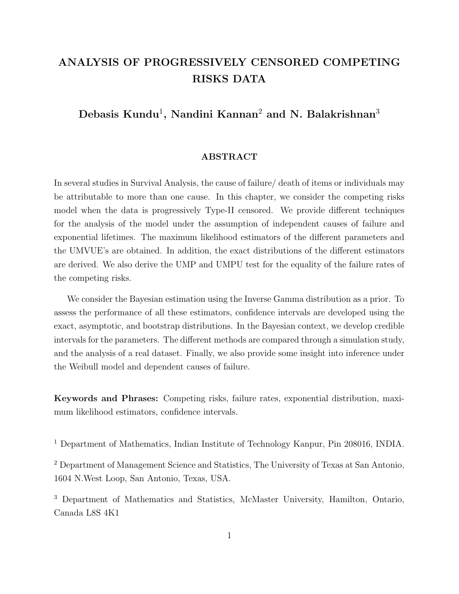# ANALYSIS OF PROGRESSIVELY CENSORED COMPETING RISKS DATA

## Debasis Kundu<sup>1</sup>, Nandini Kannan<sup>2</sup> and N. Balakrishnan<sup>3</sup>

## ABSTRACT

In several studies in Survival Analysis, the cause of failure/ death of items or individuals may be attributable to more than one cause. In this chapter, we consider the competing risks model when the data is progressively Type-II censored. We provide different techniques for the analysis of the model under the assumption of independent causes of failure and exponential lifetimes. The maximum likelihood estimators of the different parameters and the UMVUE's are obtained. In addition, the exact distributions of the different estimators are derived. We also derive the UMP and UMPU test for the equality of the failure rates of the competing risks.

We consider the Bayesian estimation using the Inverse Gamma distribution as a prior. To assess the performance of all these estimators, confidence intervals are developed using the exact, asymptotic, and bootstrap distributions. In the Bayesian context, we develop credible intervals for the parameters. The different methods are compared through a simulation study, and the analysis of a real dataset. Finally, we also provide some insight into inference under the Weibull model and dependent causes of failure.

Keywords and Phrases: Competing risks, failure rates, exponential distribution, maximum likelihood estimators, confidence intervals.

<sup>1</sup> Department of Mathematics, Indian Institute of Technology Kanpur, Pin 208016, INDIA.

<sup>2</sup> Department of Management Science and Statistics, The University of Texas at San Antonio, 1604 N.West Loop, San Antonio, Texas, USA.

<sup>3</sup> Department of Mathematics and Statistics, McMaster University, Hamilton, Ontario, Canada L8S 4K1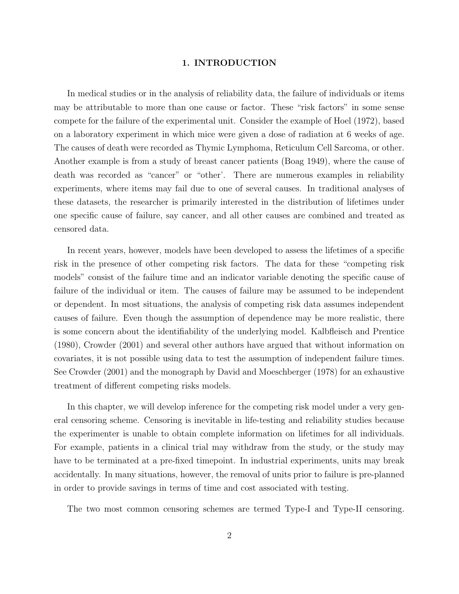#### 1. INTRODUCTION

In medical studies or in the analysis of reliability data, the failure of individuals or items may be attributable to more than one cause or factor. These "risk factors" in some sense compete for the failure of the experimental unit. Consider the example of Hoel (1972), based on a laboratory experiment in which mice were given a dose of radiation at 6 weeks of age. The causes of death were recorded as Thymic Lymphoma, Reticulum Cell Sarcoma, or other. Another example is from a study of breast cancer patients (Boag 1949), where the cause of death was recorded as "cancer" or "other'. There are numerous examples in reliability experiments, where items may fail due to one of several causes. In traditional analyses of these datasets, the researcher is primarily interested in the distribution of lifetimes under one specific cause of failure, say cancer, and all other causes are combined and treated as censored data.

In recent years, however, models have been developed to assess the lifetimes of a specific risk in the presence of other competing risk factors. The data for these "competing risk models" consist of the failure time and an indicator variable denoting the specific cause of failure of the individual or item. The causes of failure may be assumed to be independent or dependent. In most situations, the analysis of competing risk data assumes independent causes of failure. Even though the assumption of dependence may be more realistic, there is some concern about the identifiability of the underlying model. Kalbfleisch and Prentice (1980), Crowder (2001) and several other authors have argued that without information on covariates, it is not possible using data to test the assumption of independent failure times. See Crowder (2001) and the monograph by David and Moeschberger (1978) for an exhaustive treatment of different competing risks models.

In this chapter, we will develop inference for the competing risk model under a very general censoring scheme. Censoring is inevitable in life-testing and reliability studies because the experimenter is unable to obtain complete information on lifetimes for all individuals. For example, patients in a clinical trial may withdraw from the study, or the study may have to be terminated at a pre-fixed timepoint. In industrial experiments, units may break accidentally. In many situations, however, the removal of units prior to failure is pre-planned in order to provide savings in terms of time and cost associated with testing.

The two most common censoring schemes are termed Type-I and Type-II censoring.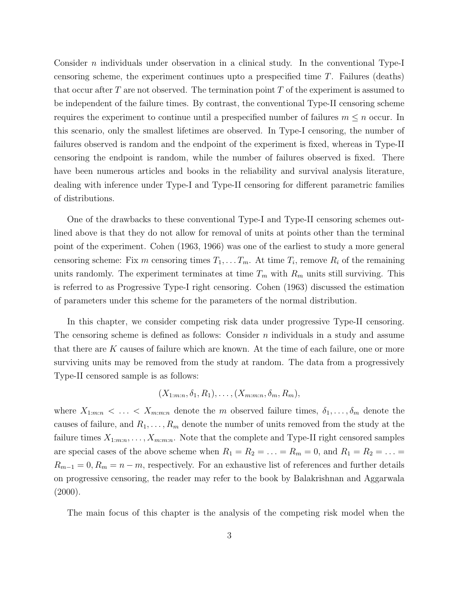Consider *n* individuals under observation in a clinical study. In the conventional Type-I censoring scheme, the experiment continues upto a prespecified time T. Failures (deaths) that occur after T are not observed. The termination point T of the experiment is assumed to be independent of the failure times. By contrast, the conventional Type-II censoring scheme requires the experiment to continue until a prespecified number of failures  $m \leq n$  occur. In this scenario, only the smallest lifetimes are observed. In Type-I censoring, the number of failures observed is random and the endpoint of the experiment is fixed, whereas in Type-II censoring the endpoint is random, while the number of failures observed is fixed. There have been numerous articles and books in the reliability and survival analysis literature, dealing with inference under Type-I and Type-II censoring for different parametric families of distributions.

One of the drawbacks to these conventional Type-I and Type-II censoring schemes outlined above is that they do not allow for removal of units at points other than the terminal point of the experiment. Cohen (1963, 1966) was one of the earliest to study a more general censoring scheme: Fix m censoring times  $T_1, \ldots T_m$ . At time  $T_i$ , remove  $R_i$  of the remaining units randomly. The experiment terminates at time  $T_m$  with  $R_m$  units still surviving. This is referred to as Progressive Type-I right censoring. Cohen (1963) discussed the estimation of parameters under this scheme for the parameters of the normal distribution.

In this chapter, we consider competing risk data under progressive Type-II censoring. The censoring scheme is defined as follows: Consider  $n$  individuals in a study and assume that there are  $K$  causes of failure which are known. At the time of each failure, one or more surviving units may be removed from the study at random. The data from a progressively Type-II censored sample is as follows:

$$
(X_{1:m:n}, \delta_1, R_1), \ldots, (X_{m:m:n}, \delta_m, R_m),
$$

where  $X_{1:m:n} < \ldots < X_{m:m:n}$  denote the m observed failure times,  $\delta_1, \ldots, \delta_m$  denote the causes of failure, and  $R_1, \ldots, R_m$  denote the number of units removed from the study at the failure times  $X_{1:m:n}, \ldots, X_{m:m:n}$ . Note that the complete and Type-II right censored samples are special cases of the above scheme when  $R_1 = R_2 = \ldots = R_m = 0$ , and  $R_1 = R_2 = \ldots =$  $R_{m-1} = 0, R_m = n - m$ , respectively. For an exhaustive list of references and further details on progressive censoring, the reader may refer to the book by Balakrishnan and Aggarwala  $(2000).$ 

The main focus of this chapter is the analysis of the competing risk model when the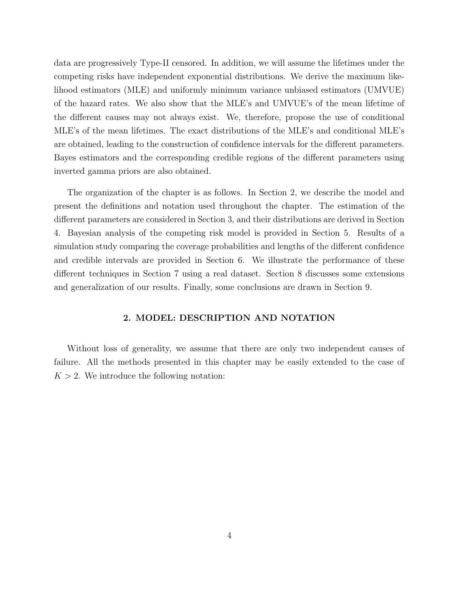data are progressively Type-II censored. In addition, we will assume the lifetimes under the competing risks have independent exponential distributions. We derive the maximum likelihood estimators (MLE) and uniformly minimum variance unbiased estimators (UMVUE) of the hazard rates. We also show that the MLE's and UMVUE's of the mean lifetime of the different causes may not always exist. We, therefore, propose the use of conditional MLE's of the mean lifetimes. The exact distributions of the MLE's and conditional MLE's are obtained, leading to the construction of confidence intervals for the different parameters. Bayes estimators and the corresponding credible regions of the different parameters using inverted gamma priors are also obtained.

The organization of the chapter is as follows. In Section 2, we describe the model and present the definitions and notation used throughout the chapter. The estimation of the different parameters are considered in Section 3, and their distributions are derived in Section 4. Bayesian analysis of the competing risk model is provided in Section 5. Results of a simulation study comparing the coverage probabilities and lengths of the different confidence and credible intervals are provided in Section 6. We illustrate the performance of these different techniques in Section 7 using a real dataset. Section 8 discusses some extensions and generalization of our results. Finally, some conclusions are drawn in Section 9.

## 2. MODEL: DESCRIPTION AND NOTATION

Without loss of generality, we assume that there are only two independent causes of failure. All the methods presented in this chapter may be easily extended to the case of  $K > 2$ . We introduce the following notation: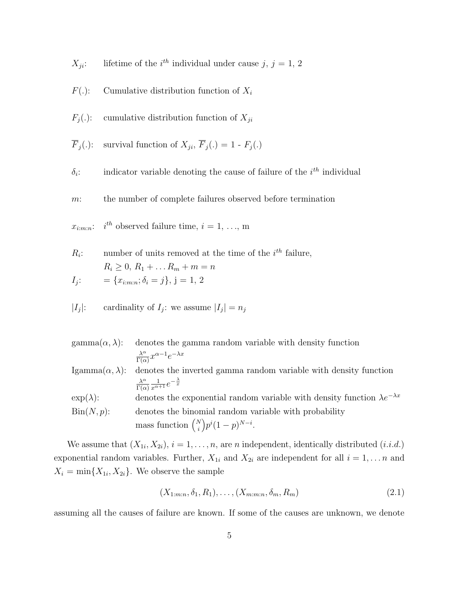$X_{ii}$ : : lifetime of the  $i^{th}$  individual under cause  $j, j = 1, 2$ 

- $F(.)$ : Cumulative distribution function of  $X_i$
- $F_j(.)$ : cumulative distribution function of  $X_{ji}$

$$
\overline{F}_j(.)
$$
: survival function of  $X_{ji}$ ,  $\overline{F}_j(.) = 1 - F_j(.)$ 

 $\delta_i$ :  $:$  indicator variable denoting the cause of failure of the  $i<sup>th</sup>$  individual

m: the number of complete failures observed before termination

 $x_{i:m:n}$ :  $i^{th}$  observed failure time,  $i = 1, \ldots, m$ 

 $R_i$ : : number of units removed at the time of the  $i^{th}$  failure,  $R_i \geq 0, R_1 + ... R_m + m = n$  $I_i$ :  $= \{x_{i:m:n}; \delta_i = j\}, \ j = 1, 2$ 

$$
|I_j|: \qquad \text{cardinality of } I_j \text{: we assume } |I_j| = n_j
$$

| $\text{gamma}(\alpha, \lambda)$ : | denotes the gamma random variable with density function                                 |
|-----------------------------------|-----------------------------------------------------------------------------------------|
|                                   | $\frac{\lambda^{\alpha}}{\Gamma(\alpha)} x^{\alpha-1} e^{-\lambda x}$                   |
| Igamma $(\alpha, \lambda)$ :      | denotes the inverted gamma random variable with density function                        |
|                                   | $\frac{\lambda^{\alpha}}{\Gamma(\alpha)} \frac{1}{x^{\alpha+1}} e^{-\frac{\lambda}{x}}$ |
| $\exp(\lambda)$ :                 | denotes the exponential random variable with density function $\lambda e^{-\lambda x}$  |
| $\operatorname{Bin}(N, p)$ :      | denotes the binomial random variable with probability                                   |
|                                   | mass function $\binom{N}{i} p^i (1-p)^{N-i}$ .                                          |

We assume that  $(X_{1i}, X_{2i}), i = 1, \ldots, n$ , are *n* independent, identically distributed  $(i.i.d.)$ exponential random variables. Further,  $X_{1i}$  and  $X_{2i}$  are independent for all  $i = 1, \ldots n$  and  $X_i = \min\{X_{1i}, X_{2i}\}.$  We observe the sample

$$
(X_{1:m:n}, \delta_1, R_1), \dots, (X_{m:m:n}, \delta_m, R_m)
$$
\n(2.1)

assuming all the causes of failure are known. If some of the causes are unknown, we denote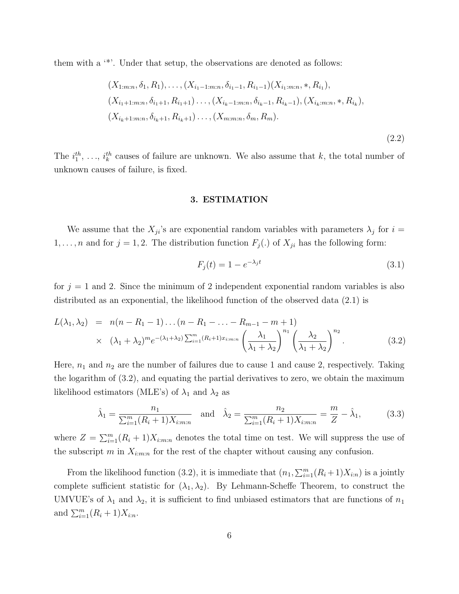them with a '\*'. Under that setup, the observations are denoted as follows:

$$
(X_{1:m:n}, \delta_1, R_1), \ldots, (X_{i_1-1:m:n}, \delta_{i_1-1}, R_{i_1-1})(X_{i_1:m:n}, *, R_{i_1}),
$$
  

$$
(X_{i_1+1:m:n}, \delta_{i_1+1}, R_{i_1+1}) \ldots, (X_{i_k-1:m:n}, \delta_{i_k-1}, R_{i_k-1}), (X_{i_k:m:n}, *, R_{i_k}),
$$
  

$$
(X_{i_k+1:m:n}, \delta_{i_k+1}, R_{i_k+1}) \ldots, (X_{m:m:n}, \delta_m, R_m).
$$

(2.2)

The  $i_1^{th}, \ldots, i_k^{th}$  causes of failure are unknown. We also assume that k, the total number of unknown causes of failure, is fixed.

#### 3. ESTIMATION

We assume that the  $X_{ji}$ 's are exponential random variables with parameters  $\lambda_j$  for  $i =$  $1, \ldots, n$  and for  $j = 1, 2$ . The distribution function  $F_j(.)$  of  $X_{ji}$  has the following form:

$$
F_j(t) = 1 - e^{-\lambda_j t} \tag{3.1}
$$

for  $j = 1$  and 2. Since the minimum of 2 independent exponential random variables is also distributed as an exponential, the likelihood function of the observed data (2.1) is

$$
L(\lambda_1, \lambda_2) = n(n - R_1 - 1) \dots (n - R_1 - \dots - R_{m-1} - m + 1) \times (\lambda_1 + \lambda_2)^m e^{-(\lambda_1 + \lambda_2) \sum_{i=1}^m (R_i + 1) x_{i:m:n}} \left(\frac{\lambda_1}{\lambda_1 + \lambda_2}\right)^{n_1} \left(\frac{\lambda_2}{\lambda_1 + \lambda_2}\right)^{n_2}.
$$
\n(3.2)

Here,  $n_1$  and  $n_2$  are the number of failures due to cause 1 and cause 2, respectively. Taking the logarithm of (3.2), and equating the partial derivatives to zero, we obtain the maximum likelihood estimators (MLE's) of  $\lambda_1$  and  $\lambda_2$  as

$$
\hat{\lambda}_1 = \frac{n_1}{\sum_{i=1}^m (R_i + 1)X_{i:m:n}} \quad \text{and} \quad \hat{\lambda}_2 = \frac{n_2}{\sum_{i=1}^m (R_i + 1)X_{i:m:n}} = \frac{m}{Z} - \hat{\lambda}_1,\tag{3.3}
$$

where  $Z = \sum_{i=1}^{m} (R_i + 1)X_{i:m:n}$  denotes the total time on test. We will suppress the use of the subscript m in  $X_{i:m:n}$  for the rest of the chapter without causing any confusion.

From the likelihood function (3.2), it is immediate that  $(n_1, \sum_{i=1}^{m} (R_i + 1)X_{i:n})$  is a jointly complete sufficient statistic for  $(\lambda_1, \lambda_2)$ . By Lehmann-Scheffe Theorem, to construct the UMVUE's of  $\lambda_1$  and  $\lambda_2$ , it is sufficient to find unbiased estimators that are functions of  $n_1$ and  $\sum_{i=1}^{m} (R_i + 1)X_{i:n}$ .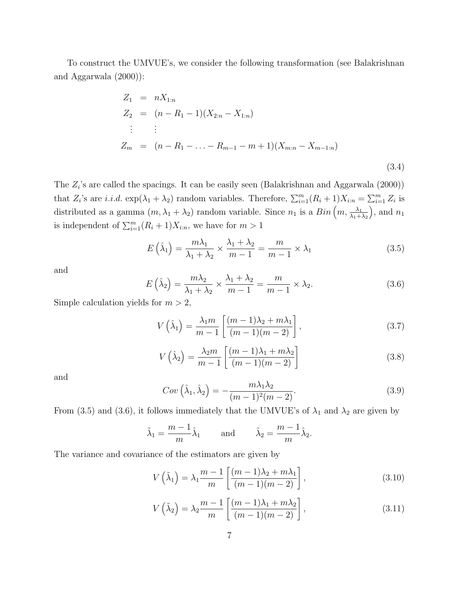To construct the UMVUE's, we consider the following transformation (see Balakrishnan and Aggarwala (2000)):

$$
Z_1 = nX_{1:n}
$$
  
\n
$$
Z_2 = (n - R_1 - 1)(X_{2:n} - X_{1:n})
$$
  
\n
$$
\vdots \qquad \vdots
$$
  
\n
$$
Z_m = (n - R_1 - \ldots - R_{m-1} - m + 1)(X_{m:n} - X_{m-1:n})
$$
  
\n(3.4)

The  $Z_i$ 's are called the spacings. It can be easily seen (Balakrishnan and Aggarwala  $(2000)$ ) that  $Z_i$ 's are *i.i.d.*  $\exp(\lambda_1 + \lambda_2)$  random variables. Therefore,  $\sum_{i=1}^m (R_i + 1)X_{i:n} = \sum_{i=1}^m Z_i$  is distributed as a gamma  $(m, \lambda_1 + \lambda_2)$  random variable. Since  $n_1$  is a  $Bin(m, \frac{\lambda_1}{\lambda_1 + \lambda_2})$ ), and  $n_1$ is independent of  $\sum_{i=1}^{m} (R_i + 1)X_{i:n}$ , we have for  $m > 1$ 

$$
E\left(\hat{\lambda}_1\right) = \frac{m\lambda_1}{\lambda_1 + \lambda_2} \times \frac{\lambda_1 + \lambda_2}{m - 1} = \frac{m}{m - 1} \times \lambda_1\tag{3.5}
$$

and

$$
E\left(\hat{\lambda}_2\right) = \frac{m\lambda_2}{\lambda_1 + \lambda_2} \times \frac{\lambda_1 + \lambda_2}{m - 1} = \frac{m}{m - 1} \times \lambda_2.
$$
 (3.6)

Simple calculation yields for  $m > 2$ ,

$$
V\left(\hat{\lambda}_1\right) = \frac{\lambda_1 m}{m-1} \left[ \frac{(m-1)\lambda_2 + m\lambda_1}{(m-1)(m-2)} \right],\tag{3.7}
$$

$$
V\left(\hat{\lambda}_2\right) = \frac{\lambda_2 m}{m-1} \left[ \frac{(m-1)\lambda_1 + m\lambda_2}{(m-1)(m-2)} \right] \tag{3.8}
$$

and

$$
Cov\left(\hat{\lambda}_1, \hat{\lambda}_2\right) = -\frac{m\lambda_1\lambda_2}{(m-1)^2(m-2)}.
$$
\n(3.9)

From (3.5) and (3.6), it follows immediately that the UMVUE's of  $\lambda_1$  and  $\lambda_2$  are given by

$$
\tilde{\lambda}_1 = \frac{m-1}{m} \hat{\lambda}_1
$$
 and  $\tilde{\lambda}_2 = \frac{m-1}{m} \hat{\lambda}_2$ .

The variance and covariance of the estimators are given by

$$
V\left(\tilde{\lambda}_1\right) = \lambda_1 \frac{m-1}{m} \left[ \frac{(m-1)\lambda_2 + m\lambda_1}{(m-1)(m-2)} \right],\tag{3.10}
$$

$$
V\left(\tilde{\lambda}_2\right) = \lambda_2 \frac{m-1}{m} \left[ \frac{(m-1)\lambda_1 + m\lambda_2}{(m-1)(m-2)} \right],\tag{3.11}
$$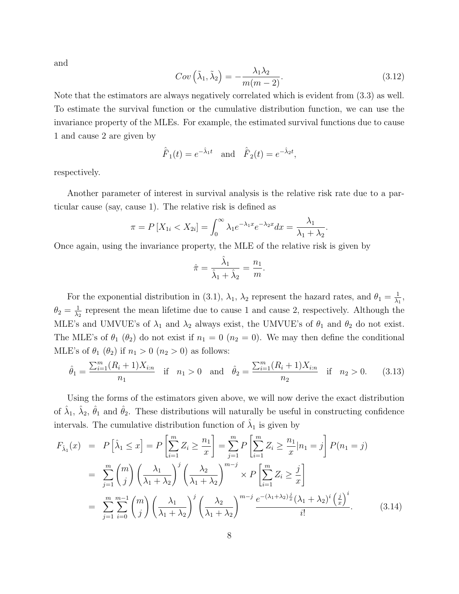and

$$
Cov\left(\tilde{\lambda}_1, \tilde{\lambda}_2\right) = -\frac{\lambda_1 \lambda_2}{m(m-2)}.
$$
\n(3.12)

Note that the estimators are always negatively correlated which is evident from (3.3) as well. To estimate the survival function or the cumulative distribution function, we can use the invariance property of the MLEs. For example, the estimated survival functions due to cause 1 and cause 2 are given by

$$
\hat{F}_1(t) = e^{-\hat{\lambda}_1 t}
$$
 and  $\hat{F}_2(t) = e^{-\hat{\lambda}_2 t}$ ,

respectively.

Another parameter of interest in survival analysis is the relative risk rate due to a particular cause (say, cause 1). The relative risk is defined as

$$
\pi = P\left[X_{1i} < X_{2i}\right] = \int_0^\infty \lambda_1 e^{-\lambda_1 x} e^{-\lambda_2 x} dx = \frac{\lambda_1}{\lambda_1 + \lambda_2}.
$$

Once again, using the invariance property, the MLE of the relative risk is given by

$$
\hat{\pi} = \frac{\hat{\lambda}_1}{\hat{\lambda}_1 + \hat{\lambda}_2} = \frac{n_1}{m}.
$$

For the exponential distribution in (3.1),  $\lambda_1$ ,  $\lambda_2$  represent the hazard rates, and  $\theta_1 = \frac{1}{\lambda_1}$  $\frac{1}{\lambda_1}$  $\theta_2=\frac{1}{\lambda_2}$  $\frac{1}{\lambda_2}$  represent the mean lifetime due to cause 1 and cause 2, respectively. Although the MLE's and UMVUE's of  $\lambda_1$  and  $\lambda_2$  always exist, the UMVUE's of  $\theta_1$  and  $\theta_2$  do not exist. The MLE's of  $\theta_1$  ( $\theta_2$ ) do not exist if  $n_1 = 0$  ( $n_2 = 0$ ). We may then define the conditional MLE's of  $\theta_1$  ( $\theta_2$ ) if  $n_1 > 0$  ( $n_2 > 0$ ) as follows:

$$
\hat{\theta}_1 = \frac{\sum_{i=1}^m (R_i + 1)X_{i:n}}{n_1} \quad \text{if} \quad n_1 > 0 \quad \text{and} \quad \hat{\theta}_2 = \frac{\sum_{i=1}^m (R_i + 1)X_{i:n}}{n_2} \quad \text{if} \quad n_2 > 0. \tag{3.13}
$$

Using the forms of the estimators given above, we will now derive the exact distribution of  $\hat{\lambda}_1$ ,  $\hat{\lambda}_2$ ,  $\hat{\theta}_1$  and  $\hat{\theta}_2$ . These distributions will naturally be useful in constructing confidence intervals. The cumulative distribution function of  $\hat{\lambda}_1$  is given by

$$
F_{\hat{\lambda}_1}(x) = P\left[\hat{\lambda}_1 \le x\right] = P\left[\sum_{i=1}^m Z_i \ge \frac{n_1}{x}\right] = \sum_{j=1}^m P\left[\sum_{i=1}^m Z_i \ge \frac{n_1}{x}|n_1 = j\right] P(n_1 = j)
$$
  
\n
$$
= \sum_{j=1}^m {m \choose j} \left(\frac{\lambda_1}{\lambda_1 + \lambda_2}\right)^j \left(\frac{\lambda_2}{\lambda_1 + \lambda_2}\right)^{m-j} \times P\left[\sum_{i=1}^m Z_i \ge \frac{j}{x}\right]
$$
  
\n
$$
= \sum_{j=1}^m \sum_{i=0}^{m-1} {m \choose j} \left(\frac{\lambda_1}{\lambda_1 + \lambda_2}\right)^j \left(\frac{\lambda_2}{\lambda_1 + \lambda_2}\right)^{m-j} \frac{e^{-(\lambda_1 + \lambda_2)\frac{j}{x}}(\lambda_1 + \lambda_2)^i \left(\frac{j}{x}\right)^i}{i!}.
$$
 (3.14)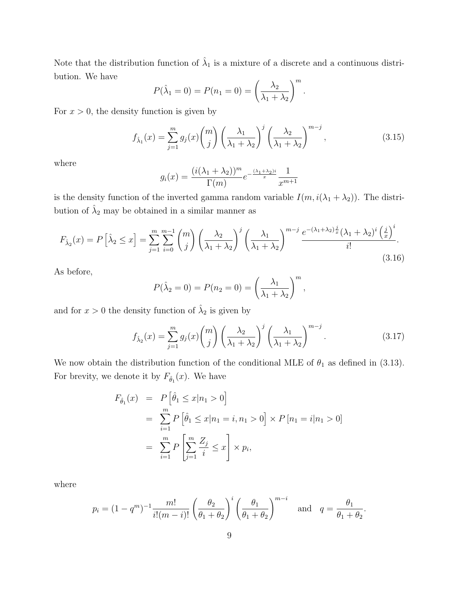Note that the distribution function of  $\hat{\lambda}_1$  is a mixture of a discrete and a continuous distribution. We have

$$
P(\hat{\lambda}_1 = 0) = P(n_1 = 0) = \left(\frac{\lambda_2}{\lambda_1 + \lambda_2}\right)^m.
$$

For  $x > 0$ , the density function is given by

$$
f_{\hat{\lambda}_1}(x) = \sum_{j=1}^m g_j(x) \binom{m}{j} \left(\frac{\lambda_1}{\lambda_1 + \lambda_2}\right)^j \left(\frac{\lambda_2}{\lambda_1 + \lambda_2}\right)^{m-j},\tag{3.15}
$$

where

$$
g_i(x) = \frac{(i(\lambda_1 + \lambda_2))^m}{\Gamma(m)} e^{-\frac{(\lambda_1 + \lambda_2)i}{x}} \frac{1}{x^{m+1}}
$$

is the density function of the inverted gamma random variable  $I(m, i(\lambda_1 + \lambda_2))$ . The distribution of  $\hat{\lambda}_2$  may be obtained in a similar manner as

$$
F_{\hat{\lambda}_2}(x) = P\left[\hat{\lambda}_2 \le x\right] = \sum_{j=1}^m \sum_{i=0}^{m-1} {m \choose j} \left(\frac{\lambda_2}{\lambda_1 + \lambda_2}\right)^j \left(\frac{\lambda_1}{\lambda_1 + \lambda_2}\right)^{m-j} \frac{e^{-(\lambda_1 + \lambda_2)\frac{j}{x}}(\lambda_1 + \lambda_2)^i \left(\frac{j}{x}\right)^i}{i!}.
$$
\n(3.16)

As before,

$$
P(\hat{\lambda}_2 = 0) = P(n_2 = 0) = \left(\frac{\lambda_1}{\lambda_1 + \lambda_2}\right)^m,
$$

and for  $x > 0$  the density function of  $\hat{\lambda}_2$  is given by

$$
f_{\hat{\lambda}_2}(x) = \sum_{j=1}^m g_j(x) {m \choose j} \left(\frac{\lambda_2}{\lambda_1 + \lambda_2}\right)^j \left(\frac{\lambda_1}{\lambda_1 + \lambda_2}\right)^{m-j}.
$$
 (3.17)

We now obtain the distribution function of the conditional MLE of  $\theta_1$  as defined in (3.13). For brevity, we denote it by  $F_{\hat{\theta}_1}(x)$ . We have

$$
F_{\hat{\theta}_1}(x) = P\left[\hat{\theta}_1 \le x | n_1 > 0\right]
$$
  
=  $\sum_{i=1}^m P\left[\hat{\theta}_1 \le x | n_1 = i, n_1 > 0\right] \times P[n_1 = i | n_1 > 0]$   
=  $\sum_{i=1}^m P\left[\sum_{j=1}^m \frac{Z_j}{i} \le x\right] \times p_i$ ,

where

$$
p_i = (1 - q^m)^{-1} \frac{m!}{i!(m - i)!} \left(\frac{\theta_2}{\theta_1 + \theta_2}\right)^i \left(\frac{\theta_1}{\theta_1 + \theta_2}\right)^{m - i}
$$
 and  $q = \frac{\theta_1}{\theta_1 + \theta_2}$ .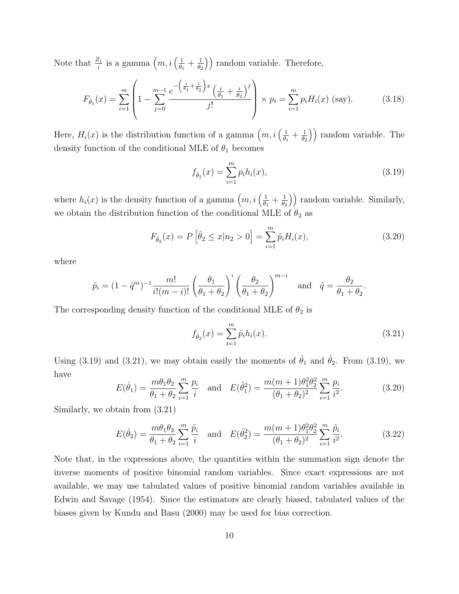Note that  $\frac{Z_j}{i}$  is a gamma  $\left(m, i\left(\frac{1}{\theta_1}\right)\right)$  $\frac{1}{\theta_1}+\frac{1}{\theta_2}$  $\left(\frac{1}{\theta_2}\right)$  random variable. Therefore,

$$
F_{\hat{\theta}_1}(x) = \sum_{i=1}^m \left( 1 - \sum_{j=0}^{m-1} \frac{e^{-\left(\frac{i}{\theta_1} + \frac{i}{\theta_2}\right)x} \left(\frac{i}{\theta_1} + \frac{i}{\theta_2}\right)^j}{j!} \right) \times p_i = \sum_{i=1}^m p_i H_i(x) \text{ (say).}
$$
 (3.18)

Here,  $H_i(x)$  is the distribution function of a gamma  $\left(m, i\left(\frac{1}{\theta_i}\right)\right)$  $\frac{1}{\theta_1}+\frac{1}{\theta_2}$  $\left(\frac{1}{\theta_2}\right)$  random variable. The density function of the conditional MLE of  $\theta_1$  becomes

$$
f_{\hat{\theta}_1}(x) = \sum_{i=1}^{m} p_i h_i(x),
$$
\n(3.19)

where  $h_i(x)$  is the density function of a gamma  $\left(m, i\left(\frac{1}{\theta_i}\right)\right)$  $\frac{1}{\theta_1}+\frac{1}{\theta_2}$  $\left(\frac{1}{\theta_2}\right)$  random variable. Similarly, we obtain the distribution function of the conditional MLE of  $\theta_2$  as

$$
F_{\hat{\theta}_2}(x) = P\left[\hat{\theta}_2 \le x | n_2 > 0\right] = \sum_{i=1}^{m} \tilde{p}_i H_i(x),\tag{3.20}
$$

where

$$
\tilde{p}_i = (1 - \tilde{q}^m)^{-1} \frac{m!}{i!(m-i)!} \left(\frac{\theta_1}{\theta_1 + \theta_2}\right)^i \left(\frac{\theta_2}{\theta_1 + \theta_2}\right)^{m-i} \quad \text{and} \quad \tilde{q} = \frac{\theta_2}{\theta_1 + \theta_2}.
$$

The corresponding density function of the conditional MLE of  $\theta_2$  is

$$
f_{\hat{\theta}_2}(x) = \sum_{i=1}^{m} \tilde{p}_i h_i(x).
$$
 (3.21)

Using (3.19) and (3.21), we may obtain easily the moments of  $\hat{\theta}_1$  and  $\hat{\theta}_2$ . From (3.19), we have

$$
E(\hat{\theta}_1) = \frac{m\theta_1\theta_2}{\theta_1 + \theta_2} \sum_{i=1}^m \frac{p_i}{i} \quad \text{and} \quad E(\hat{\theta}_1^2) = \frac{m(m+1)\theta_1^2\theta_2^2}{(\theta_1 + \theta_2)^2} \sum_{i=1}^m \frac{p_i}{i^2}.
$$
 (3.20)

Similarly, we obtain from (3.21)

$$
E(\hat{\theta}_2) = \frac{m\theta_1\theta_2}{\theta_1 + \theta_2} \sum_{i=1}^m \frac{\tilde{p}_i}{i} \quad \text{and} \quad E(\hat{\theta}_2^2) = \frac{m(m+1)\theta_1^2\theta_2^2}{(\theta_1 + \theta_2)^2} \sum_{i=1}^m \frac{\tilde{p}_i}{i^2}.
$$
 (3.22)

Note that, in the expressions above, the quantities within the summation sign denote the inverse moments of positive binomial random variables. Since exact expressions are not available, we may use tabulated values of positive binomial random variables available in Edwin and Savage (1954). Since the estimators are clearly biased, tabulated values of the biases given by Kundu and Basu (2000) may be used for bias correction.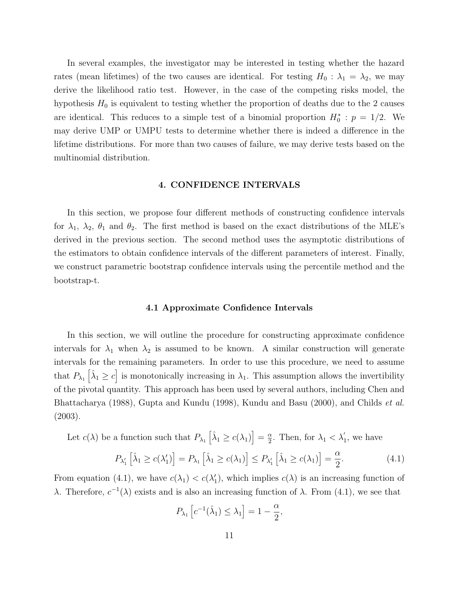In several examples, the investigator may be interested in testing whether the hazard rates (mean lifetimes) of the two causes are identical. For testing  $H_0$ :  $\lambda_1 = \lambda_2$ , we may derive the likelihood ratio test. However, in the case of the competing risks model, the hypothesis  $H_0$  is equivalent to testing whether the proportion of deaths due to the 2 causes are identical. This reduces to a simple test of a binomial proportion  $H_0^* : p = 1/2$ . We may derive UMP or UMPU tests to determine whether there is indeed a difference in the lifetime distributions. For more than two causes of failure, we may derive tests based on the multinomial distribution.

## 4. CONFIDENCE INTERVALS

In this section, we propose four different methods of constructing confidence intervals for  $\lambda_1$ ,  $\lambda_2$ ,  $\theta_1$  and  $\theta_2$ . The first method is based on the exact distributions of the MLE's derived in the previous section. The second method uses the asymptotic distributions of the estimators to obtain confidence intervals of the different parameters of interest. Finally, we construct parametric bootstrap confidence intervals using the percentile method and the bootstrap-t.

#### 4.1 Approximate Confidence Intervals

In this section, we will outline the procedure for constructing approximate confidence intervals for  $\lambda_1$  when  $\lambda_2$  is assumed to be known. A similar construction will generate intervals for the remaining parameters. In order to use this procedure, we need to assume that  $P_{\lambda_1}$   $\left[\hat{\lambda}_1 \geq c\right]$  is monotonically increasing in  $\lambda_1$ . This assumption allows the invertibility of the pivotal quantity. This approach has been used by several authors, including Chen and Bhattacharya (1988), Gupta and Kundu (1998), Kundu and Basu (2000), and Childs et al. (2003).

Let  $c(\lambda)$  be a function such that  $P_{\lambda_1} \left[ \hat{\lambda}_1 \geq c(\lambda_1) \right] = \frac{\alpha}{2}$  $\frac{\alpha}{2}$ . Then, for  $\lambda_1 < \lambda_1$  $\zeta_1$ , we have

$$
P_{\lambda_1'}\left[\hat{\lambda}_1 \ge c(\lambda_1')\right] = P_{\lambda_1}\left[\hat{\lambda}_1 \ge c(\lambda_1)\right] \le P_{\lambda_1'}\left[\hat{\lambda}_1 \ge c(\lambda_1)\right] = \frac{\alpha}{2}.\tag{4.1}
$$

From equation (4.1), we have  $c(\lambda_1) < c(\lambda_1')$ , which implies  $c(\lambda)$  is an increasing function of λ. Therefore,  $c^{-1}(\lambda)$  exists and is also an increasing function of λ. From (4.1), we see that

$$
P_{\lambda_1}\left[c^{-1}(\hat{\lambda}_1) \leq \lambda_1\right] = 1 - \frac{\alpha}{2},
$$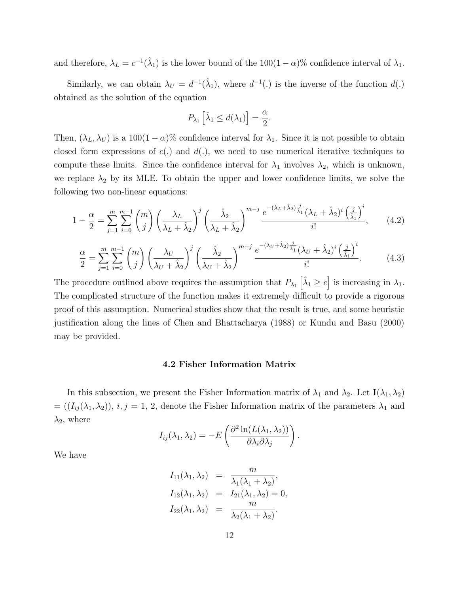and therefore,  $\lambda_L = c^{-1}(\hat{\lambda}_1)$  is the lower bound of the  $100(1-\alpha)\%$  confidence interval of  $\lambda_1$ .

Similarly, we can obtain  $\lambda_U = d^{-1}(\hat{\lambda}_1)$ , where  $d^{-1}(\cdot)$  is the inverse of the function  $d(\cdot)$ obtained as the solution of the equation

$$
P_{\lambda_1} \left[ \hat{\lambda}_1 \le d(\lambda_1) \right] = \frac{\alpha}{2}.
$$

Then,  $(\lambda_L, \lambda_U)$  is a 100(1 –  $\alpha$ )% confidence interval for  $\lambda_1$ . Since it is not possible to obtain closed form expressions of  $c(.)$  and  $d(.)$ , we need to use numerical iterative techniques to compute these limits. Since the confidence interval for  $\lambda_1$  involves  $\lambda_2$ , which is unknown, we replace  $\lambda_2$  by its MLE. To obtain the upper and lower confidence limits, we solve the following two non-linear equations:

$$
1 - \frac{\alpha}{2} = \sum_{j=1}^{m} \sum_{i=0}^{m-1} {m \choose j} \left(\frac{\lambda_L}{\lambda_L + \hat{\lambda}_2}\right)^j \left(\frac{\hat{\lambda}_2}{\lambda_L + \hat{\lambda}_2}\right)^{m-j} \frac{e^{-(\lambda_L + \hat{\lambda}_2)\frac{j}{\hat{\lambda}_1}}(\lambda_L + \hat{\lambda}_2)^i \left(\frac{j}{\hat{\lambda}_1}\right)^i}{i!},\tag{4.2}
$$

$$
\frac{\alpha}{2} = \sum_{j=1}^{m} \sum_{i=0}^{m-1} {m \choose j} \left(\frac{\lambda_U}{\lambda_U + \hat{\lambda}_2}\right)^j \left(\frac{\hat{\lambda}_2}{\lambda_U + \hat{\lambda}_2}\right)^{m-j} \frac{e^{-(\lambda_U + \hat{\lambda}_2)} \frac{i}{\hat{\lambda}_1} (\lambda_U + \hat{\lambda}_2)^i \left(\frac{j}{\hat{\lambda}_1}\right)^i}{i!}.
$$
(4.3)

The procedure outlined above requires the assumption that  $P_{\lambda_1} \left[ \hat{\lambda}_1 \geq c \right]$  is increasing in  $\lambda_1$ . The complicated structure of the function makes it extremely difficult to provide a rigorous proof of this assumption. Numerical studies show that the result is true, and some heuristic justification along the lines of Chen and Bhattacharya (1988) or Kundu and Basu (2000) may be provided.

#### 4.2 Fisher Information Matrix

In this subsection, we present the Fisher Information matrix of  $\lambda_1$  and  $\lambda_2$ . Let  $I(\lambda_1, \lambda_2)$  $= ((I_{ij}(\lambda_1, \lambda_2)), i, j = 1, 2,$  denote the Fisher Information matrix of the parameters  $\lambda_1$  and  $\lambda_2$ , where

$$
I_{ij}(\lambda_1, \lambda_2) = -E\left(\frac{\partial^2 \ln(L(\lambda_1, \lambda_2))}{\partial \lambda_i \partial \lambda_j}\right).
$$

We have

$$
I_{11}(\lambda_1, \lambda_2) = \frac{m}{\lambda_1(\lambda_1 + \lambda_2)},
$$
  
\n
$$
I_{12}(\lambda_1, \lambda_2) = I_{21}(\lambda_1, \lambda_2) = 0,
$$
  
\n
$$
I_{22}(\lambda_1, \lambda_2) = \frac{m}{\lambda_2(\lambda_1 + \lambda_2)}.
$$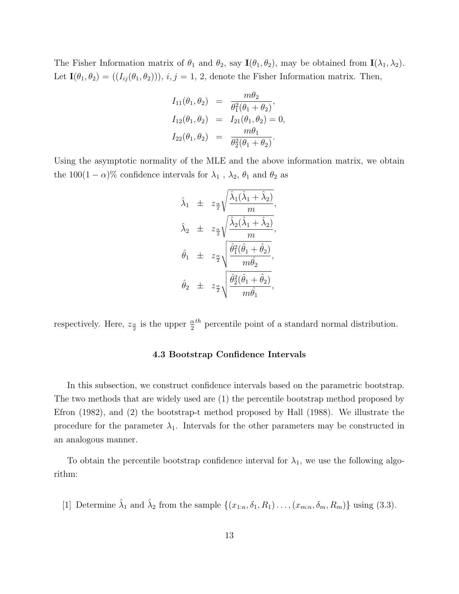The Fisher Information matrix of  $\theta_1$  and  $\theta_2$ , say  $\mathbf{I}(\theta_1, \theta_2)$ , may be obtained from  $\mathbf{I}(\lambda_1, \lambda_2)$ . Let  $\mathbf{I}(\theta_1, \theta_2) = ((I_{ij}(\theta_1, \theta_2))), i, j = 1, 2$ , denote the Fisher Information matrix. Then,

$$
I_{11}(\theta_1, \theta_2) = \frac{m\theta_2}{\theta_1^2(\theta_1 + \theta_2)},
$$
  
\n
$$
I_{12}(\theta_1, \theta_2) = I_{21}(\theta_1, \theta_2) = 0,
$$
  
\n
$$
I_{22}(\theta_1, \theta_2) = \frac{m\theta_1}{\theta_2^2(\theta_1 + \theta_2)}.
$$

Using the asymptotic normality of the MLE and the above information matrix, we obtain the 100(1 –  $\alpha$ )% confidence intervals for  $\lambda_1$ ,  $\lambda_2$ ,  $\theta_1$  and  $\theta_2$  as

$$
\hat{\lambda}_1 \pm z_{\frac{\alpha}{2}} \sqrt{\frac{\hat{\lambda}_1(\hat{\lambda}_1 + \hat{\lambda}_2)}{m}},
$$
  

$$
\hat{\lambda}_2 \pm z_{\frac{\alpha}{2}} \sqrt{\frac{\hat{\lambda}_2(\hat{\lambda}_1 + \hat{\lambda}_2)}{m}},
$$
  

$$
\hat{\theta}_1 \pm z_{\frac{\alpha}{2}} \sqrt{\frac{\hat{\theta}_1^2(\hat{\theta}_1 + \hat{\theta}_2)}{m\hat{\theta}_2}},
$$
  

$$
\hat{\theta}_2 \pm z_{\frac{\alpha}{2}} \sqrt{\frac{\hat{\theta}_2^2(\hat{\theta}_1 + \hat{\theta}_2)}{m\hat{\theta}_1}},
$$

respectively. Here,  $z_{\frac{\alpha}{2}}$  is the upper  $\frac{\alpha}{2}^{th}$  percentile point of a standard normal distribution.

## 4.3 Bootstrap Confidence Intervals

In this subsection, we construct confidence intervals based on the parametric bootstrap. The two methods that are widely used are (1) the percentile bootstrap method proposed by Efron (1982), and (2) the bootstrap-t method proposed by Hall (1988). We illustrate the procedure for the parameter  $\lambda_1$ . Intervals for the other parameters may be constructed in an analogous manner.

To obtain the percentile bootstrap confidence interval for  $\lambda_1$ , we use the following algorithm:

[1] Determine  $\hat{\lambda}_1$  and  $\hat{\lambda}_2$  from the sample  $\{(x_{1:n}, \delta_1, R_1) \dots, (x_{m:n}, \delta_m, R_m)\}\$ using (3.3).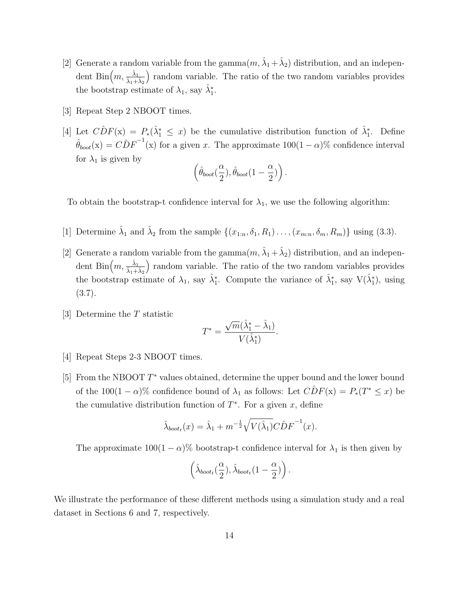- [2] Generate a random variable from the gamma $(m, \hat{\lambda}_1 + \hat{\lambda}_2)$  distribution, and an independent Bin $\left(m,\frac{\hat{\lambda}_1}{\hat{\lambda}_1+\hat{\lambda}_2}\right)$ ) random variable. The ratio of the two random variables provides the bootstrap estimate of  $\lambda_1$ , say  $\hat{\lambda}_1^*$ .
- [3] Repeat Step 2 NBOOT times.
- [4] Let  $\hat{CDF}(x) = P_*(\hat{\lambda}_1^* \leq x)$  be the cumulative distribution function of  $\hat{\lambda}_1^*$ . Define  $\hat{\theta}_{boot}(\mathbf{x}) = \hat{CDF}^{-1}(\mathbf{x})$  for a given x. The approximate  $100(1-\alpha)\%$  confidence interval for  $\lambda_1$  is given by

$$
\left(\hat{\theta}_{boot}(\frac{\alpha}{2}),\hat{\theta}_{boot}(1-\frac{\alpha}{2})\right).
$$

To obtain the bootstrap-t confidence interval for  $\lambda_1$ , we use the following algorithm:

- [1] Determine  $\hat{\lambda}_1$  and  $\hat{\lambda}_2$  from the sample  $\{(x_{1:n}, \delta_1, R_1) \dots, (x_{m:n}, \delta_m, R_m)\}\$ using (3.3).
- [2] Generate a random variable from the gamma $(m, \hat{\lambda}_1 + \hat{\lambda}_2)$  distribution, and an independent Bin $\left(m,\frac{\hat{\lambda}_1}{\hat{\lambda}_1+\hat{\lambda}_2}\right)$ ) random variable. The ratio of the two random variables provides the bootstrap estimate of  $\lambda_1$ , say  $\hat{\lambda}_1^*$ . Compute the variance of  $\hat{\lambda}_1^*$ , say  $V(\hat{\lambda}_1^*)$ , using  $(3.7).$
- [3] Determine the T statistic

$$
T^* = \frac{\sqrt{m}(\hat{\lambda}_1^* - \hat{\lambda}_1)}{V(\hat{\lambda}_1^*)}.
$$

- [4] Repeat Steps 2-3 NBOOT times.
- [5] From the NBOOT  $T^*$  values obtained, determine the upper bound and the lower bound of the  $100(1 - \alpha)$ % confidence bound of  $\lambda_1$  as follows: Let  $\widehat{CDF}(x) = P_*(T^* \leq x)$  be the cumulative distribution function of  $T^*$ . For a given x, define

$$
\hat{\lambda}_{boot_t}(x) = \hat{\lambda}_1 + m^{-\frac{1}{2}} \sqrt{V(\hat{\lambda}_1)} C \hat{D} F^{-1}(x).
$$

The approximate  $100(1 - \alpha)$ % bootstrap-t confidence interval for  $\lambda_1$  is then given by

$$
\left(\hat{\lambda}_{boot_t}(\frac{\alpha}{2}), \hat{\lambda}_{boot_t}(1-\frac{\alpha}{2})\right).
$$

We illustrate the performance of these different methods using a simulation study and a real dataset in Sections 6 and 7, respectively.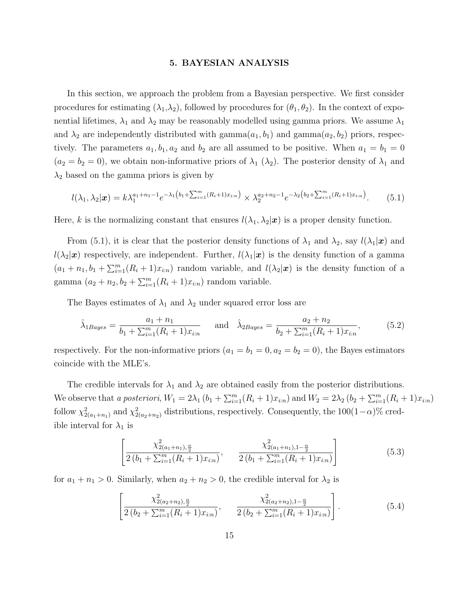#### 5. BAYESIAN ANALYSIS

In this section, we approach the problem from a Bayesian perspective. We first consider procedures for estimating  $(\lambda_1, \lambda_2)$ , followed by procedures for  $(\theta_1, \theta_2)$ . In the context of exponential lifetimes,  $\lambda_1$  and  $\lambda_2$  may be reasonably modelled using gamma priors. We assume  $\lambda_1$ and  $\lambda_2$  are independently distributed with gamma $(a_1, b_1)$  and gamma $(a_2, b_2)$  priors, respectively. The parameters  $a_1, b_1, a_2$  and  $b_2$  are all assumed to be positive. When  $a_1 = b_1 = 0$  $(a_2 = b_2 = 0)$ , we obtain non-informative priors of  $\lambda_1$  ( $\lambda_2$ ). The posterior density of  $\lambda_1$  and  $\lambda_2$  based on the gamma priors is given by

$$
l(\lambda_1, \lambda_2 | \boldsymbol{x}) = k \lambda_1^{a_1 + n_1 - 1} e^{-\lambda_1 \left(b_1 + \sum_{i=1}^m (R_i + 1) x_{i:n}\right)} \times \lambda_2^{a_2 + n_2 - 1} e^{-\lambda_2 \left(b_2 + \sum_{i=1}^m (R_i + 1) x_{i:n}\right)}.
$$
 (5.1)

Here, k is the normalizing constant that ensures  $l(\lambda_1, \lambda_2|\mathbf{x})$  is a proper density function.

From (5.1), it is clear that the posterior density functions of  $\lambda_1$  and  $\lambda_2$ , say  $l(\lambda_1|\boldsymbol{x})$  and  $l(\lambda_2|\mathbf{x})$  respectively, are independent. Further,  $l(\lambda_1|\mathbf{x})$  is the density function of a gamma  $(a_1+n_1, b_1+\sum_{i=1}^m (R_i+1)x_{i:n})$  random variable, and  $l(\lambda_2|\boldsymbol{x})$  is the density function of a gamma  $(a_2 + n_2, b_2 + \sum_{i=1}^{m} (R_i + 1)x_{i:n})$  random variable.

The Bayes estimates of  $\lambda_1$  and  $\lambda_2$  under squared error loss are

$$
\hat{\lambda}_{1Bayes} = \frac{a_1 + n_1}{b_1 + \sum_{i=1}^m (R_i + 1)x_{i:n}} \quad \text{and} \quad \hat{\lambda}_{2Bayes} = \frac{a_2 + n_2}{b_2 + \sum_{i=1}^m (R_i + 1)x_{i:n}},\tag{5.2}
$$

respectively. For the non-informative priors  $(a_1 = b_1 = 0, a_2 = b_2 = 0)$ , the Bayes estimators coincide with the MLE's.

The credible intervals for  $\lambda_1$  and  $\lambda_2$  are obtained easily from the posterior distributions. We observe that a posteriori,  $W_1 = 2\lambda_1 (b_1 + \sum_{i=1}^m (R_i + 1)x_{i:n})$  and  $W_2 = 2\lambda_2 (b_2 + \sum_{i=1}^m (R_i + 1)x_{i:n})$ follow  $\chi^2_{2(a_1+n_1)}$  and  $\chi^2_{2(a_2+n_2)}$  distributions, respectively. Consequently, the  $100(1-\alpha)\%$  credible interval for  $\lambda_1$  is

$$
\left[\frac{\chi_{2(a_1+n_1),\frac{\alpha}{2}}^2}{2(b_1+\sum_{i=1}^m(R_i+1)x_{i:n})}, \frac{\chi_{2(a_1+n_1),1-\frac{\alpha}{2}}^2}{2(b_1+\sum_{i=1}^m(R_i+1)x_{i:n})}\right]
$$
(5.3)

for  $a_1 + n_1 > 0$ . Similarly, when  $a_2 + n_2 > 0$ , the credible interval for  $\lambda_2$  is

$$
\left[\frac{\chi_{2(a_{2}+n_{2}),\frac{\alpha}{2}}^{2}}{2\left(b_{2}+\sum_{i=1}^{m}(R_{i}+1)x_{i:n}\right)}, \frac{\chi_{2(a_{2}+n_{2}),1-\frac{\alpha}{2}}^{2}}{2\left(b_{2}+\sum_{i=1}^{m}(R_{i}+1)x_{i:n}\right)}\right].
$$
\n(5.4)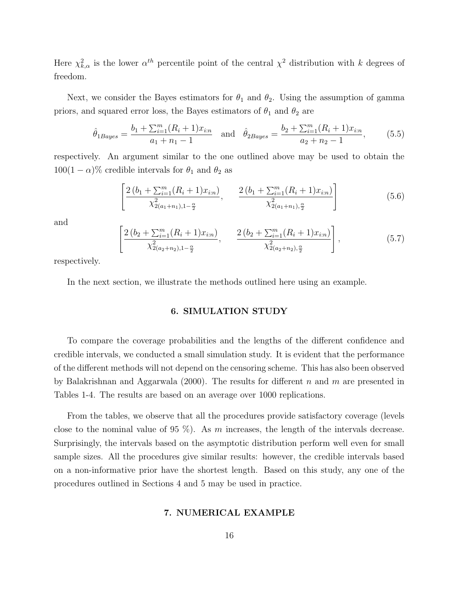Here  $\chi^2_{k,\alpha}$  is the lower  $\alpha^{th}$  percentile point of the central  $\chi^2$  distribution with k degrees of freedom.

Next, we consider the Bayes estimators for  $\theta_1$  and  $\theta_2$ . Using the assumption of gamma priors, and squared error loss, the Bayes estimators of  $\theta_1$  and  $\theta_2$  are

$$
\hat{\theta}_{1Bayes} = \frac{b_1 + \sum_{i=1}^{m} (R_i + 1)x_{i:n}}{a_1 + n_1 - 1} \quad \text{and} \quad \hat{\theta}_{2Bayes} = \frac{b_2 + \sum_{i=1}^{m} (R_i + 1)x_{i:n}}{a_2 + n_2 - 1},\tag{5.5}
$$

respectively. An argument similar to the one outlined above may be used to obtain the  $100(1 - \alpha)\%$  credible intervals for  $\theta_1$  and  $\theta_2$  as

$$
\left[\frac{2\left(b_1 + \sum_{i=1}^m (R_i + 1)x_{i:n}\right)}{\chi_{2(a_1+n_1),1-\frac{\alpha}{2}}^2}, \frac{2\left(b_1 + \sum_{i=1}^m (R_i + 1)x_{i:n}\right)}{\chi_{2(a_1+n_1),\frac{\alpha}{2}}^2}\right]
$$
(5.6)

and

$$
\left[\frac{2\left(b_2 + \sum_{i=1}^m (R_i + 1)x_{i:n}\right)}{\chi_{2(a_2+n_2),1-\frac{\alpha}{2}}^2}, \frac{2\left(b_2 + \sum_{i=1}^m (R_i + 1)x_{i:n}\right)}{\chi_{2(a_2+n_2),\frac{\alpha}{2}}^2}\right],\tag{5.7}
$$

respectively.

In the next section, we illustrate the methods outlined here using an example.

## 6. SIMULATION STUDY

To compare the coverage probabilities and the lengths of the different confidence and credible intervals, we conducted a small simulation study. It is evident that the performance of the different methods will not depend on the censoring scheme. This has also been observed by Balakrishnan and Aggarwala (2000). The results for different n and m are presented in Tables 1-4. The results are based on an average over 1000 replications.

From the tables, we observe that all the procedures provide satisfactory coverage (levels close to the nominal value of 95 %). As m increases, the length of the intervals decrease. Surprisingly, the intervals based on the asymptotic distribution perform well even for small sample sizes. All the procedures give similar results: however, the credible intervals based on a non-informative prior have the shortest length. Based on this study, any one of the procedures outlined in Sections 4 and 5 may be used in practice.

#### 7. NUMERICAL EXAMPLE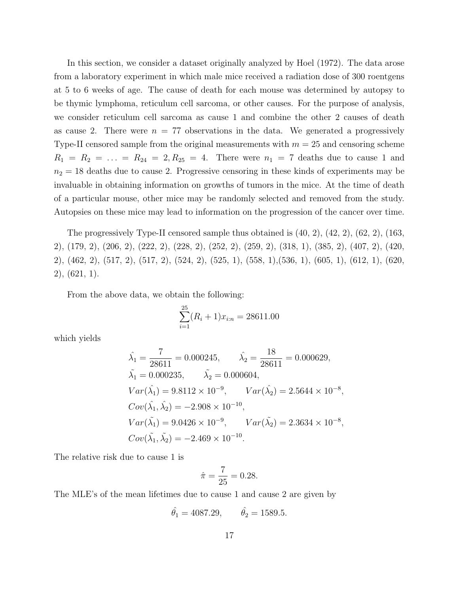In this section, we consider a dataset originally analyzed by Hoel (1972). The data arose from a laboratory experiment in which male mice received a radiation dose of 300 roentgens at 5 to 6 weeks of age. The cause of death for each mouse was determined by autopsy to be thymic lymphoma, reticulum cell sarcoma, or other causes. For the purpose of analysis, we consider reticulum cell sarcoma as cause 1 and combine the other 2 causes of death as cause 2. There were  $n = 77$  observations in the data. We generated a progressively Type-II censored sample from the original measurements with  $m = 25$  and censoring scheme  $R_1 = R_2 = \ldots = R_{24} = 2, R_{25} = 4.$  There were  $n_1 = 7$  deaths due to cause 1 and  $n_2 = 18$  deaths due to cause 2. Progressive censoring in these kinds of experiments may be invaluable in obtaining information on growths of tumors in the mice. At the time of death of a particular mouse, other mice may be randomly selected and removed from the study. Autopsies on these mice may lead to information on the progression of the cancer over time.

The progressively Type-II censored sample thus obtained is  $(40, 2)$ ,  $(42, 2)$ ,  $(62, 2)$ ,  $(163, 2)$ 2), (179, 2), (206, 2), (222, 2), (228, 2), (252, 2), (259, 2), (318, 1), (385, 2), (407, 2), (420, 2), (462, 2), (517, 2), (517, 2), (524, 2), (525, 1), (558, 1),(536, 1), (605, 1), (612, 1), (620, 2), (621, 1).

From the above data, we obtain the following:

$$
\sum_{i=1}^{25} (R_i + 1)x_{i:n} = 28611.00
$$

which yields

$$
\begin{aligned}\n\hat{\lambda}_1 &= \frac{7}{28611} = 0.000245, & \hat{\lambda}_2 &= \frac{18}{28611} = 0.000629, \\
\tilde{\lambda}_1 &= 0.000235, & \tilde{\lambda}_2 &= 0.000604, \\
Var(\hat{\lambda}_1) &= 9.8112 \times 10^{-9}, & Var(\hat{\lambda}_2) &= 2.5644 \times 10^{-8}, \\
Cov(\hat{\lambda}_1, \hat{\lambda}_2) &= -2.908 \times 10^{-10}, \\
Var(\tilde{\lambda}_1) &= 9.0426 \times 10^{-9}, & Var(\tilde{\lambda}_2) &= 2.3634 \times 10^{-8}, \\
Cov(\tilde{\lambda}_1, \tilde{\lambda}_2) &= -2.469 \times 10^{-10}.\n\end{aligned}
$$

The relative risk due to cause 1 is

$$
\hat{\pi} = \frac{7}{25} = 0.28.
$$

The MLE's of the mean lifetimes due to cause 1 and cause 2 are given by

$$
\hat{\theta}_1 = 4087.29,
$$
  $\hat{\theta}_2 = 1589.5.$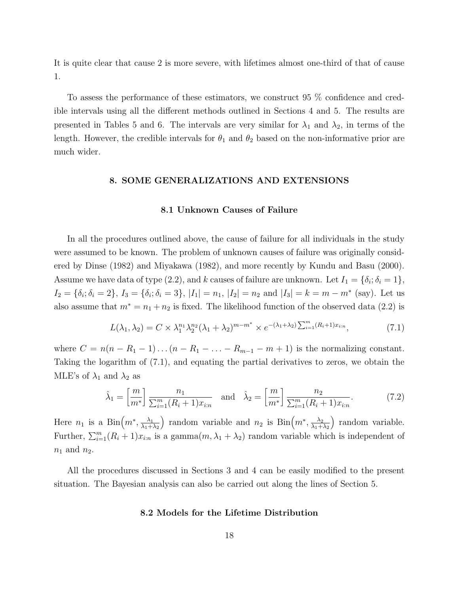It is quite clear that cause 2 is more severe, with lifetimes almost one-third of that of cause 1.

To assess the performance of these estimators, we construct 95 % confidence and credible intervals using all the different methods outlined in Sections 4 and 5. The results are presented in Tables 5 and 6. The intervals are very similar for  $\lambda_1$  and  $\lambda_2$ , in terms of the length. However, the credible intervals for  $\theta_1$  and  $\theta_2$  based on the non-informative prior are much wider.

## 8. SOME GENERALIZATIONS AND EXTENSIONS

#### 8.1 Unknown Causes of Failure

In all the procedures outlined above, the cause of failure for all individuals in the study were assumed to be known. The problem of unknown causes of failure was originally considered by Dinse (1982) and Miyakawa (1982), and more recently by Kundu and Basu (2000). Assume we have data of type (2.2), and k causes of failure are unknown. Let  $I_1 = \{\delta_i; \delta_i = 1\}$ ,  $I_2 = \{\delta_i; \delta_i = 2\}, I_3 = \{\delta_i; \delta_i = 3\}, |I_1| = n_1, |I_2| = n_2 \text{ and } |I_3| = k = m - m^* \text{ (say)}.$  Let us also assume that  $m^* = n_1 + n_2$  is fixed. The likelihood function of the observed data (2.2) is

$$
L(\lambda_1, \lambda_2) = C \times \lambda_1^{n_1} \lambda_2^{n_2} (\lambda_1 + \lambda_2)^{m - m^*} \times e^{-(\lambda_1 + \lambda_2) \sum_{i=1}^m (R_i + 1) x_{i:n}}, \tag{7.1}
$$

where  $C = n(n - R_1 - 1) \dots (n - R_1 - \dots - R_{m-1} - m + 1)$  is the normalizing constant. Taking the logarithm of (7.1), and equating the partial derivatives to zeros, we obtain the MLE's of  $\lambda_1$  and  $\lambda_2$  as

$$
\hat{\lambda}_1 = \left[\frac{m}{m^*}\right] \frac{n_1}{\sum_{i=1}^m (R_i + 1)x_{i:n}} \quad \text{and} \quad \hat{\lambda}_2 = \left[\frac{m}{m^*}\right] \frac{n_2}{\sum_{i=1}^m (R_i + 1)x_{i:n}}.
$$
 (7.2)

Here  $n_1$  is a Bin $\left(m^*, \frac{\lambda_1}{\lambda_1 + \lambda_2}\right)$  $\lambda_1+\lambda_2$ ) random variable and  $n_2$  is  $\text{Bin}(m^*, \frac{\lambda_2}{\lambda_1 +})$  $\lambda_1+\lambda_2$ ) random variable. Further,  $\sum_{i=1}^{m} (R_i + 1)x_{i:n}$  is a gamma $(m, \lambda_1 + \lambda_2)$  random variable which is independent of  $n_1$  and  $n_2$ .

All the procedures discussed in Sections 3 and 4 can be easily modified to the present situation. The Bayesian analysis can also be carried out along the lines of Section 5.

#### 8.2 Models for the Lifetime Distribution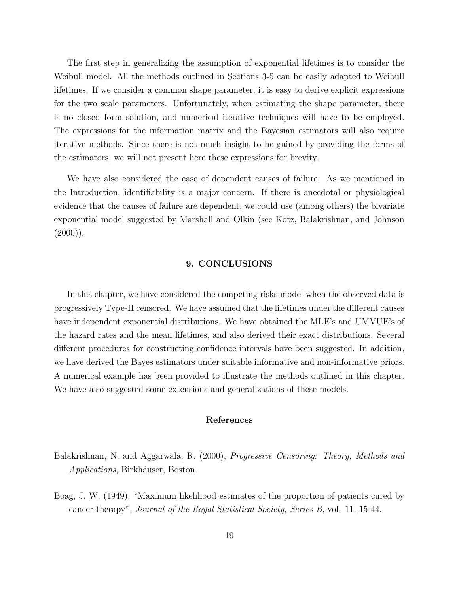The first step in generalizing the assumption of exponential lifetimes is to consider the Weibull model. All the methods outlined in Sections 3-5 can be easily adapted to Weibull lifetimes. If we consider a common shape parameter, it is easy to derive explicit expressions for the two scale parameters. Unfortunately, when estimating the shape parameter, there is no closed form solution, and numerical iterative techniques will have to be employed. The expressions for the information matrix and the Bayesian estimators will also require iterative methods. Since there is not much insight to be gained by providing the forms of the estimators, we will not present here these expressions for brevity.

We have also considered the case of dependent causes of failure. As we mentioned in the Introduction, identifiability is a major concern. If there is anecdotal or physiological evidence that the causes of failure are dependent, we could use (among others) the bivariate exponential model suggested by Marshall and Olkin (see Kotz, Balakrishnan, and Johnson  $(2000)$ ).

## 9. CONCLUSIONS

In this chapter, we have considered the competing risks model when the observed data is progressively Type-II censored. We have assumed that the lifetimes under the different causes have independent exponential distributions. We have obtained the MLE's and UMVUE's of the hazard rates and the mean lifetimes, and also derived their exact distributions. Several different procedures for constructing confidence intervals have been suggested. In addition, we have derived the Bayes estimators under suitable informative and non-informative priors. A numerical example has been provided to illustrate the methods outlined in this chapter. We have also suggested some extensions and generalizations of these models.

## References

Balakrishnan, N. and Aggarwala, R. (2000), Progressive Censoring: Theory, Methods and Applications, Birkhäuser, Boston.

Boag, J. W. (1949), "Maximum likelihood estimates of the proportion of patients cured by cancer therapy", Journal of the Royal Statistical Society, Series B, vol. 11, 15-44.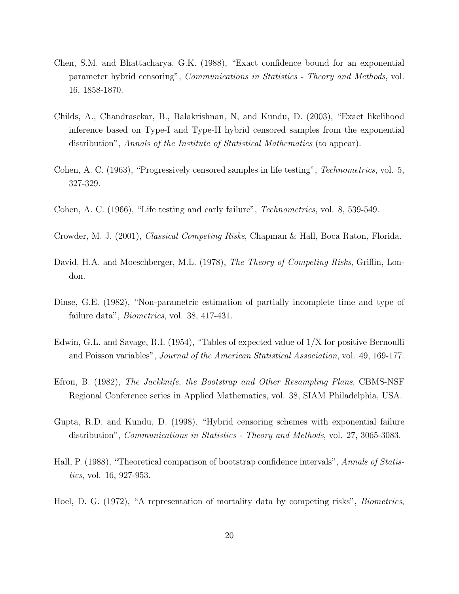- Chen, S.M. and Bhattacharya, G.K. (1988), "Exact confidence bound for an exponential parameter hybrid censoring", Communications in Statistics - Theory and Methods, vol. 16, 1858-1870.
- Childs, A., Chandrasekar, B., Balakrishnan, N, and Kundu, D. (2003), "Exact likelihood inference based on Type-I and Type-II hybrid censored samples from the exponential distribution", Annals of the Institute of Statistical Mathematics (to appear).
- Cohen, A. C. (1963), "Progressively censored samples in life testing", Technometrics, vol. 5, 327-329.
- Cohen, A. C. (1966), "Life testing and early failure", Technometrics, vol. 8, 539-549.
- Crowder, M. J. (2001), Classical Competing Risks, Chapman & Hall, Boca Raton, Florida.
- David, H.A. and Moeschberger, M.L. (1978), *The Theory of Competing Risks*, Griffin, London.
- Dinse, G.E. (1982), "Non-parametric estimation of partially incomplete time and type of failure data", Biometrics, vol. 38, 417-431.
- Edwin, G.L. and Savage, R.I. (1954), "Tables of expected value of 1/X for positive Bernoulli and Poisson variables", Journal of the American Statistical Association, vol. 49, 169-177.
- Efron, B. (1982), The Jackknife, the Bootstrap and Other Resampling Plans, CBMS-NSF Regional Conference series in Applied Mathematics, vol. 38, SIAM Philadelphia, USA.
- Gupta, R.D. and Kundu, D. (1998), "Hybrid censoring schemes with exponential failure distribution", Communications in Statistics - Theory and Methods, vol. 27, 3065-3083.
- Hall, P. (1988), "Theoretical comparison of bootstrap confidence intervals", Annals of Statistics, vol. 16, 927-953.
- Hoel, D. G. (1972), "A representation of mortality data by competing risks", Biometrics,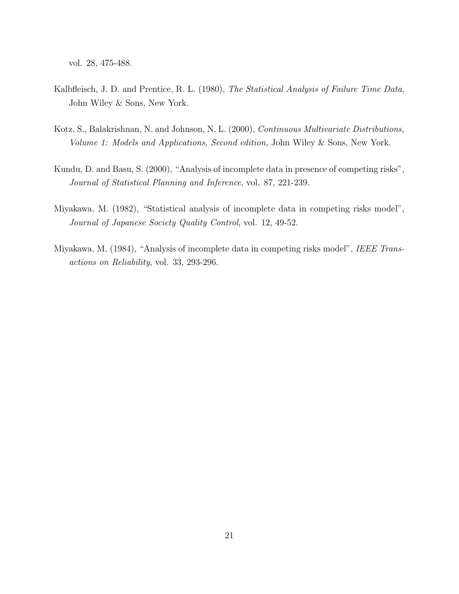vol. 28, 475-488.

- Kalbfleisch, J. D. and Prentice, R. L. (1980), The Statistical Analysis of Failure Time Data, John Wiley & Sons, New York.
- Kotz, S., Balakrishnan, N. and Johnson, N. L. (2000), Continuous Multivariate Distributions, Volume 1: Models and Applications, Second edition, John Wiley & Sons, New York.
- Kundu, D. and Basu, S. (2000), "Analysis of incomplete data in presence of competing risks", Journal of Statistical Planning and Inference, vol. 87, 221-239.
- Miyakawa, M. (1982), "Statistical analysis of incomplete data in competing risks model", Journal of Japanese Society Quality Control, vol. 12, 49-52.
- Miyakawa, M. (1984), "Analysis of incomplete data in competing risks model", IEEE Transactions on Reliability, vol. 33, 293-296.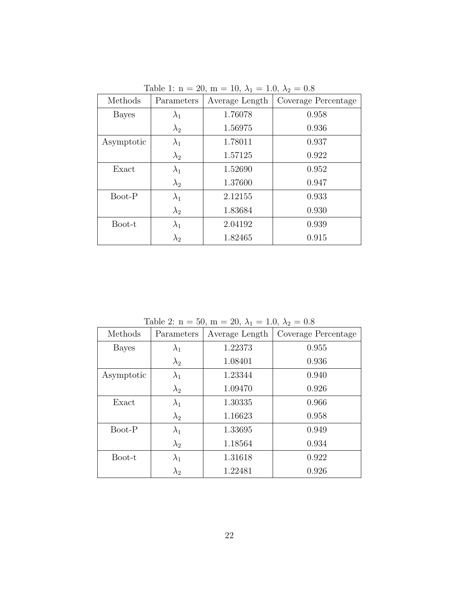| Methods      | Parameters  | Average Length | Coverage Percentage |
|--------------|-------------|----------------|---------------------|
| <b>Bayes</b> | $\lambda_1$ | 1.76078        | 0.958               |
|              | $\lambda_2$ | 1.56975        | 0.936               |
| Asymptotic   | $\lambda_1$ | 1.78011        | 0.937               |
|              | $\lambda_2$ | 1.57125        | 0.922               |
| Exact        | $\lambda_1$ | 1.52690        | 0.952               |
|              | $\lambda_2$ | 1.37600        | 0.947               |
| Boot-P       | $\lambda_1$ | 2.12155        | 0.933               |
|              | $\lambda_2$ | 1.83684        | 0.930               |
| Boot-t       | $\lambda_1$ | 2.04192        | 0.939               |
|              | $\lambda_2$ | 1.82465        | 0.915               |

Table 1: n = 20, m = 10,  $\lambda_1$  = 1.0,  $\lambda_2$  = 0.8

Table 2:  $n = 50$ ,  $m = 20$ ,  $\lambda_1 = 1.0$ ,  $\lambda_2 = 0.8$ 

| Methods      | Parameters  | Average Length | Coverage Percentage |
|--------------|-------------|----------------|---------------------|
| <b>Bayes</b> | $\lambda_1$ | 1.22373        | 0.955               |
|              | $\lambda_2$ | 1.08401        | 0.936               |
| Asymptotic   | $\lambda_1$ | 1.23344        | 0.940               |
|              | $\lambda_2$ | 1.09470        | 0.926               |
| Exact        | $\lambda_1$ | 1.30335        | 0.966               |
|              | $\lambda_2$ | 1.16623        | 0.958               |
| Boot-P       | $\lambda_1$ | 1.33695        | 0.949               |
|              | $\lambda_2$ | 1.18564        | 0.934               |
| Boot-t       | $\lambda_1$ | 1.31618        | 0.922               |
|              | $\lambda_2$ | 1.22481        | 0.926               |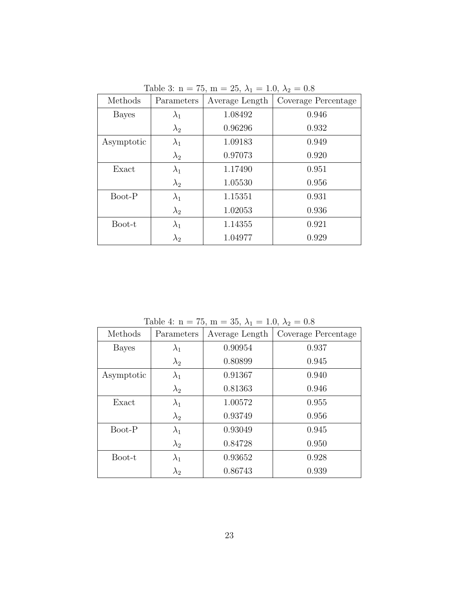| Methods      | Parameters  | Average Length | Coverage Percentage |
|--------------|-------------|----------------|---------------------|
| <b>Bayes</b> | $\lambda_1$ | 1.08492        | 0.946               |
|              | $\lambda_2$ | 0.96296        | 0.932               |
| Asymptotic   | $\lambda_1$ | 1.09183        | 0.949               |
|              | $\lambda_2$ | 0.97073        | 0.920               |
| Exact        | $\lambda_1$ | 1.17490        | 0.951               |
|              | $\lambda_2$ | 1.05530        | 0.956               |
| Boot-P       | $\lambda_1$ | 1.15351        | 0.931               |
|              | $\lambda_2$ | 1.02053        | 0.936               |
| Boot-t       | $\lambda_1$ | 1.14355        | 0.921               |
|              | $\lambda_2$ | 1.04977        | 0.929               |

Table 3: n = 75, m = 25,  $\lambda_1$  = 1.0,  $\lambda_2$  = 0.8

Table 4: n = 75, m = 35,  $\lambda_1$  = 1.0,  $\lambda_2$  = 0.8

| Methods      | Parameters  | Average Length | Coverage Percentage |
|--------------|-------------|----------------|---------------------|
| <b>Bayes</b> | $\lambda_1$ | 0.90954        | 0.937               |
|              | $\lambda_2$ | 0.80899        | 0.945               |
| Asymptotic   | $\lambda_1$ | 0.91367        | 0.940               |
|              | $\lambda_2$ | 0.81363        | 0.946               |
| Exact        | $\lambda_1$ | 1.00572        | 0.955               |
|              | $\lambda_2$ | 0.93749        | 0.956               |
| Boot-P       | $\lambda_1$ | 0.93049        | 0.945               |
|              | $\lambda_2$ | 0.84728        | 0.950               |
| Boot-t       | $\lambda_1$ | 0.93652        | 0.928               |
|              | $\lambda_2$ | 0.86743        | 0.939               |